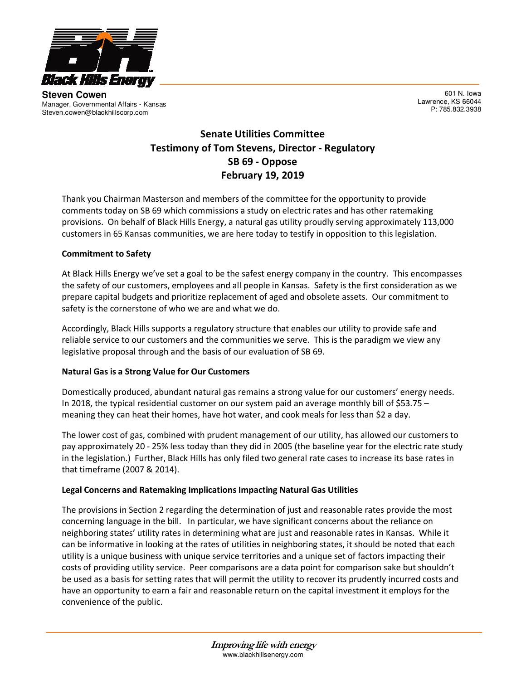

**Steven Cowen** Manager, Governmental Affairs - Kansas Steven.cowen@blackhillscorp.com

601 N. Iowa Lawrence, KS 66044 P: 785.832.3938

# Senate Utilities Committee Testimony of Tom Stevens, Director - Regulatory SB 69 - Oppose February 19, 2019

Thank you Chairman Masterson and members of the committee for the opportunity to provide comments today on SB 69 which commissions a study on electric rates and has other ratemaking provisions. On behalf of Black Hills Energy, a natural gas utility proudly serving approximately 113,000 customers in 65 Kansas communities, we are here today to testify in opposition to this legislation.

# Commitment to Safety

At Black Hills Energy we've set a goal to be the safest energy company in the country. This encompasses the safety of our customers, employees and all people in Kansas. Safety is the first consideration as we prepare capital budgets and prioritize replacement of aged and obsolete assets. Our commitment to safety is the cornerstone of who we are and what we do.

Accordingly, Black Hills supports a regulatory structure that enables our utility to provide safe and reliable service to our customers and the communities we serve. This is the paradigm we view any legislative proposal through and the basis of our evaluation of SB 69.

### Natural Gas is a Strong Value for Our Customers

Domestically produced, abundant natural gas remains a strong value for our customers' energy needs. In 2018, the typical residential customer on our system paid an average monthly bill of \$53.75 – meaning they can heat their homes, have hot water, and cook meals for less than \$2 a day.

The lower cost of gas, combined with prudent management of our utility, has allowed our customers to pay approximately 20 - 25% less today than they did in 2005 (the baseline year for the electric rate study in the legislation.) Further, Black Hills has only filed two general rate cases to increase its base rates in that timeframe (2007 & 2014).

### Legal Concerns and Ratemaking Implications Impacting Natural Gas Utilities

The provisions in Section 2 regarding the determination of just and reasonable rates provide the most concerning language in the bill. In particular, we have significant concerns about the reliance on neighboring states' utility rates in determining what are just and reasonable rates in Kansas. While it can be informative in looking at the rates of utilities in neighboring states, it should be noted that each utility is a unique business with unique service territories and a unique set of factors impacting their costs of providing utility service. Peer comparisons are a data point for comparison sake but shouldn't be used as a basis for setting rates that will permit the utility to recover its prudently incurred costs and have an opportunity to earn a fair and reasonable return on the capital investment it employs for the convenience of the public.